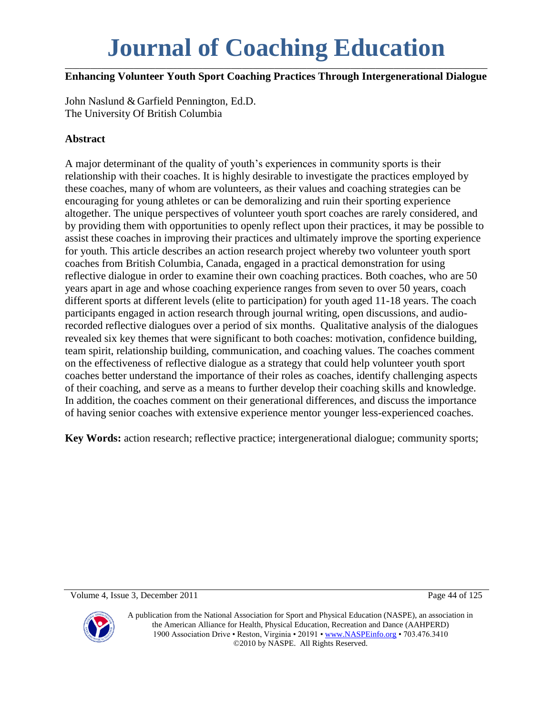#### **\_\_\_\_\_\_\_\_\_\_\_\_\_\_\_\_\_\_\_\_\_\_\_\_\_\_\_\_\_\_\_\_\_\_\_\_\_\_\_\_\_\_\_\_\_\_\_\_\_\_\_\_\_\_\_\_\_\_\_\_\_\_\_\_\_\_\_\_\_\_\_\_\_\_\_\_\_\_\_\_\_\_\_\_\_\_\_\_\_\_\_\_\_\_\_\_\_\_\_\_\_\_\_\_\_\_\_\_\_\_\_\_\_\_\_\_\_ Enhancing Volunteer Youth Sport Coaching Practices Through Intergenerational Dialogue**

John Naslund & Garfield Pennington, Ed.D. The University Of British Columbia

## **Abstract**

A major determinant of the quality of youth's experiences in community sports is their relationship with their coaches. It is highly desirable to investigate the practices employed by these coaches, many of whom are volunteers, as their values and coaching strategies can be encouraging for young athletes or can be demoralizing and ruin their sporting experience altogether. The unique perspectives of volunteer youth sport coaches are rarely considered, and by providing them with opportunities to openly reflect upon their practices, it may be possible to assist these coaches in improving their practices and ultimately improve the sporting experience for youth. This article describes an action research project whereby two volunteer youth sport coaches from British Columbia, Canada, engaged in a practical demonstration for using reflective dialogue in order to examine their own coaching practices. Both coaches, who are 50 years apart in age and whose coaching experience ranges from seven to over 50 years, coach different sports at different levels (elite to participation) for youth aged 11-18 years. The coach participants engaged in action research through journal writing, open discussions, and audiorecorded reflective dialogues over a period of six months. Qualitative analysis of the dialogues revealed six key themes that were significant to both coaches: motivation, confidence building, team spirit, relationship building, communication, and coaching values. The coaches comment on the effectiveness of reflective dialogue as a strategy that could help volunteer youth sport coaches better understand the importance of their roles as coaches, identify challenging aspects of their coaching, and serve as a means to further develop their coaching skills and knowledge. In addition, the coaches comment on their generational differences, and discuss the importance of having senior coaches with extensive experience mentor younger less-experienced coaches.

**Key Words:** action research; reflective practice; intergenerational dialogue; community sports;

Volume 4, Issue 3, December 2011 **Page 44 of 125** Page 44 of 125

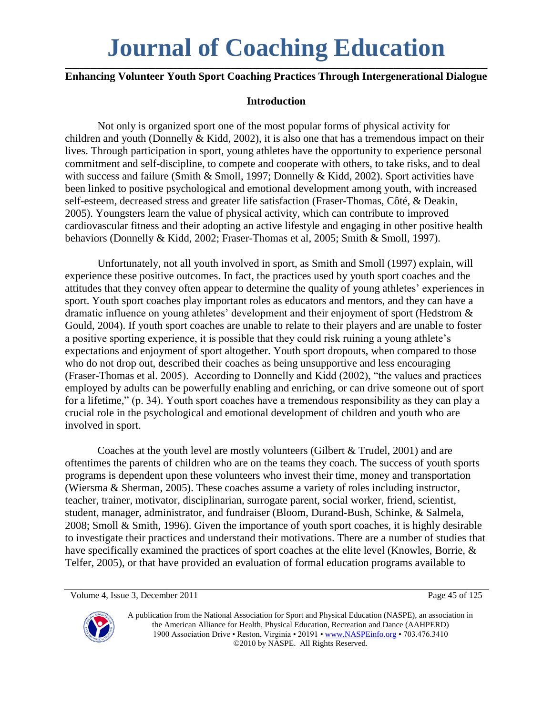#### **\_\_\_\_\_\_\_\_\_\_\_\_\_\_\_\_\_\_\_\_\_\_\_\_\_\_\_\_\_\_\_\_\_\_\_\_\_\_\_\_\_\_\_\_\_\_\_\_\_\_\_\_\_\_\_\_\_\_\_\_\_\_\_\_\_\_\_\_\_\_\_\_\_\_\_\_\_\_\_\_\_\_\_\_\_\_\_\_\_\_\_\_\_\_\_\_\_\_\_\_\_\_\_\_\_\_\_\_\_\_\_\_\_\_\_\_\_ Enhancing Volunteer Youth Sport Coaching Practices Through Intergenerational Dialogue**

#### **Introduction**

Not only is organized sport one of the most popular forms of physical activity for children and youth (Donnelly  $&$  Kidd, 2002), it is also one that has a tremendous impact on their lives. Through participation in sport, young athletes have the opportunity to experience personal commitment and self-discipline, to compete and cooperate with others, to take risks, and to deal with success and failure (Smith & Smoll, 1997; Donnelly & Kidd, 2002). Sport activities have been linked to positive psychological and emotional development among youth, with increased self-esteem, decreased stress and greater life satisfaction (Fraser-Thomas, Côté, & Deakin, 2005). Youngsters learn the value of physical activity, which can contribute to improved cardiovascular fitness and their adopting an active lifestyle and engaging in other positive health behaviors (Donnelly & Kidd, 2002; Fraser-Thomas et al, 2005; Smith & Smoll, 1997).

Unfortunately, not all youth involved in sport, as Smith and Smoll (1997) explain, will experience these positive outcomes. In fact, the practices used by youth sport coaches and the attitudes that they convey often appear to determine the quality of young athletes' experiences in sport. Youth sport coaches play important roles as educators and mentors, and they can have a dramatic influence on young athletes' development and their enjoyment of sport (Hedstrom & Gould, 2004). If youth sport coaches are unable to relate to their players and are unable to foster a positive sporting experience, it is possible that they could risk ruining a young athlete's expectations and enjoyment of sport altogether. Youth sport dropouts, when compared to those who do not drop out, described their coaches as being unsupportive and less encouraging (Fraser-Thomas et al. 2005). According to Donnelly and Kidd (2002), "the values and practices employed by adults can be powerfully enabling and enriching, or can drive someone out of sport for a lifetime," (p. 34). Youth sport coaches have a tremendous responsibility as they can play a crucial role in the psychological and emotional development of children and youth who are involved in sport.

Coaches at the youth level are mostly volunteers (Gilbert & Trudel, 2001) and are oftentimes the parents of children who are on the teams they coach. The success of youth sports programs is dependent upon these volunteers who invest their time, money and transportation (Wiersma & Sherman, 2005). These coaches assume a variety of roles including instructor, teacher, trainer, motivator, disciplinarian, surrogate parent, social worker, friend, scientist, student, manager, administrator, and fundraiser (Bloom, Durand-Bush, Schinke, & Salmela, 2008; Smoll & Smith, 1996). Given the importance of youth sport coaches, it is highly desirable to investigate their practices and understand their motivations. There are a number of studies that have specifically examined the practices of sport coaches at the elite level (Knowles, Borrie, & Telfer, 2005), or that have provided an evaluation of formal education programs available to

Volume 4, Issue 3, December 2011 Page 45 of 125

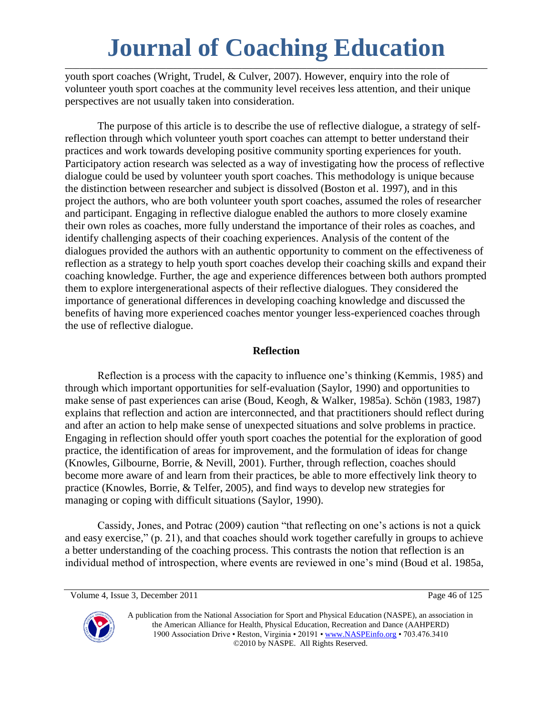**\_\_\_\_\_\_\_\_\_\_\_\_\_\_\_\_\_\_\_\_\_\_\_\_\_\_\_\_\_\_\_\_\_\_\_\_\_\_\_\_\_\_\_\_\_\_\_\_\_\_\_\_\_\_\_\_\_\_\_\_\_\_\_\_\_\_\_\_\_\_\_\_\_\_\_\_\_\_\_\_\_\_\_\_\_\_\_\_\_\_\_\_\_\_\_\_\_\_\_\_\_\_\_\_\_\_\_\_\_\_\_\_\_\_\_\_\_**

youth sport coaches (Wright, Trudel, & Culver, 2007). However, enquiry into the role of volunteer youth sport coaches at the community level receives less attention, and their unique perspectives are not usually taken into consideration.

The purpose of this article is to describe the use of reflective dialogue, a strategy of selfreflection through which volunteer youth sport coaches can attempt to better understand their practices and work towards developing positive community sporting experiences for youth. Participatory action research was selected as a way of investigating how the process of reflective dialogue could be used by volunteer youth sport coaches. This methodology is unique because the distinction between researcher and subject is dissolved (Boston et al. 1997), and in this project the authors, who are both volunteer youth sport coaches, assumed the roles of researcher and participant. Engaging in reflective dialogue enabled the authors to more closely examine their own roles as coaches, more fully understand the importance of their roles as coaches, and identify challenging aspects of their coaching experiences. Analysis of the content of the dialogues provided the authors with an authentic opportunity to comment on the effectiveness of reflection as a strategy to help youth sport coaches develop their coaching skills and expand their coaching knowledge. Further, the age and experience differences between both authors prompted them to explore intergenerational aspects of their reflective dialogues. They considered the importance of generational differences in developing coaching knowledge and discussed the benefits of having more experienced coaches mentor younger less-experienced coaches through the use of reflective dialogue.

## **Reflection**

Reflection is a process with the capacity to influence one's thinking (Kemmis, 1985) and through which important opportunities for self-evaluation (Saylor, 1990) and opportunities to make sense of past experiences can arise (Boud, Keogh, & Walker, 1985a). Schön (1983, 1987) explains that reflection and action are interconnected, and that practitioners should reflect during and after an action to help make sense of unexpected situations and solve problems in practice. Engaging in reflection should offer youth sport coaches the potential for the exploration of good practice, the identification of areas for improvement, and the formulation of ideas for change (Knowles, Gilbourne, Borrie, & Nevill, 2001). Further, through reflection, coaches should become more aware of and learn from their practices, be able to more effectively link theory to practice (Knowles, Borrie, & Telfer, 2005), and find ways to develop new strategies for managing or coping with difficult situations (Saylor, 1990).

Cassidy, Jones, and Potrac (2009) caution "that reflecting on one's actions is not a quick and easy exercise," (p. 21), and that coaches should work together carefully in groups to achieve a better understanding of the coaching process. This contrasts the notion that reflection is an individual method of introspection, where events are reviewed in one's mind (Boud et al. 1985a,

Volume 4, Issue 3, December 2011 Page 46 of 125



A publication from the National Association for Sport and Physical Education (NASPE), an association in the American Alliance for Health, Physical Education, Recreation and Dance (AAHPERD) 1900 Association Drive • Reston, Virginia • 20191 • www.NASPEinfo.org • 703.476.3410 ©2010 by NASPE. All Rights Reserved.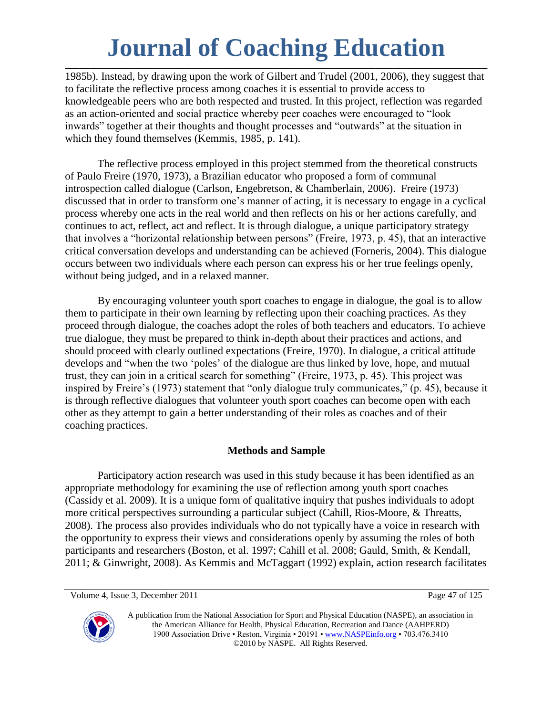**\_\_\_\_\_\_\_\_\_\_\_\_\_\_\_\_\_\_\_\_\_\_\_\_\_\_\_\_\_\_\_\_\_\_\_\_\_\_\_\_\_\_\_\_\_\_\_\_\_\_\_\_\_\_\_\_\_\_\_\_\_\_\_\_\_\_\_\_\_\_\_\_\_\_\_\_\_\_\_\_\_\_\_\_\_\_\_\_\_\_\_\_\_\_\_\_\_\_\_\_\_\_\_\_\_\_\_\_\_\_\_\_\_\_\_\_\_**

1985b). Instead, by drawing upon the work of Gilbert and Trudel (2001, 2006), they suggest that to facilitate the reflective process among coaches it is essential to provide access to knowledgeable peers who are both respected and trusted. In this project, reflection was regarded as an action-oriented and social practice whereby peer coaches were encouraged to "look inwards" together at their thoughts and thought processes and "outwards" at the situation in which they found themselves (Kemmis, 1985, p. 141).

The reflective process employed in this project stemmed from the theoretical constructs of Paulo Freire (1970, 1973), a Brazilian educator who proposed a form of communal introspection called dialogue (Carlson, Engebretson, & Chamberlain, 2006). Freire (1973) discussed that in order to transform one's manner of acting, it is necessary to engage in a cyclical process whereby one acts in the real world and then reflects on his or her actions carefully, and continues to act, reflect, act and reflect. It is through dialogue, a unique participatory strategy that involves a "horizontal relationship between persons" (Freire, 1973, p. 45), that an interactive critical conversation develops and understanding can be achieved (Forneris, 2004). This dialogue occurs between two individuals where each person can express his or her true feelings openly, without being judged, and in a relaxed manner.

By encouraging volunteer youth sport coaches to engage in dialogue, the goal is to allow them to participate in their own learning by reflecting upon their coaching practices. As they proceed through dialogue, the coaches adopt the roles of both teachers and educators. To achieve true dialogue, they must be prepared to think in-depth about their practices and actions, and should proceed with clearly outlined expectations (Freire, 1970). In dialogue, a critical attitude develops and "when the two 'poles' of the dialogue are thus linked by love, hope, and mutual trust, they can join in a critical search for something" (Freire, 1973, p. 45). This project was inspired by Freire's (1973) statement that "only dialogue truly communicates," (p. 45), because it is through reflective dialogues that volunteer youth sport coaches can become open with each other as they attempt to gain a better understanding of their roles as coaches and of their coaching practices.

## **Methods and Sample**

Participatory action research was used in this study because it has been identified as an appropriate methodology for examining the use of reflection among youth sport coaches (Cassidy et al. 2009). It is a unique form of qualitative inquiry that pushes individuals to adopt more critical perspectives surrounding a particular subject (Cahill, Rios-Moore, & Threatts, 2008). The process also provides individuals who do not typically have a voice in research with the opportunity to express their views and considerations openly by assuming the roles of both participants and researchers (Boston, et al. 1997; Cahill et al. 2008; Gauld, Smith, & Kendall, 2011; & Ginwright, 2008). As Kemmis and McTaggart (1992) explain, action research facilitates

Volume 4, Issue 3, December 2011 Page 47 of 125



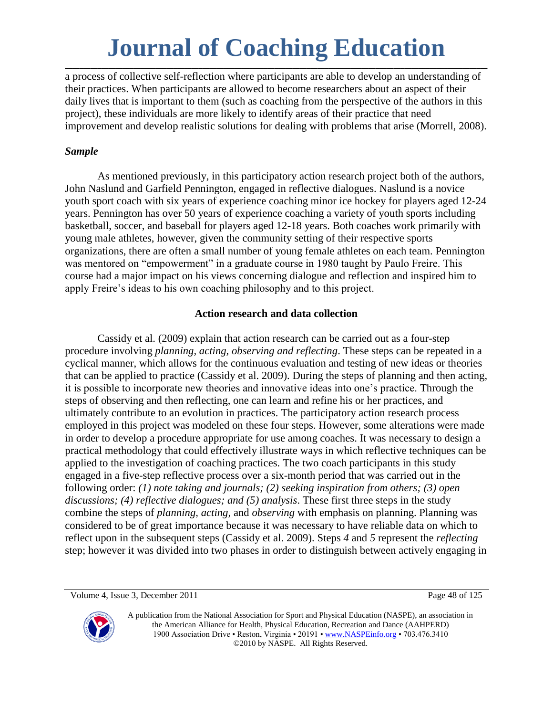a process of collective self-reflection where participants are able to develop an understanding of their practices. When participants are allowed to become researchers about an aspect of their daily lives that is important to them (such as coaching from the perspective of the authors in this project), these individuals are more likely to identify areas of their practice that need improvement and develop realistic solutions for dealing with problems that arise (Morrell, 2008).

### *Sample*

As mentioned previously, in this participatory action research project both of the authors, John Naslund and Garfield Pennington, engaged in reflective dialogues. Naslund is a novice youth sport coach with six years of experience coaching minor ice hockey for players aged 12-24 years. Pennington has over 50 years of experience coaching a variety of youth sports including basketball, soccer, and baseball for players aged 12-18 years. Both coaches work primarily with young male athletes, however, given the community setting of their respective sports organizations, there are often a small number of young female athletes on each team. Pennington was mentored on "empowerment" in a graduate course in 1980 taught by Paulo Freire. This course had a major impact on his views concerning dialogue and reflection and inspired him to apply Freire's ideas to his own coaching philosophy and to this project.

### **Action research and data collection**

Cassidy et al. (2009) explain that action research can be carried out as a four-step procedure involving *planning, acting, observing and reflecting*. These steps can be repeated in a cyclical manner, which allows for the continuous evaluation and testing of new ideas or theories that can be applied to practice (Cassidy et al. 2009). During the steps of planning and then acting, it is possible to incorporate new theories and innovative ideas into one's practice. Through the steps of observing and then reflecting, one can learn and refine his or her practices, and ultimately contribute to an evolution in practices. The participatory action research process employed in this project was modeled on these four steps. However, some alterations were made in order to develop a procedure appropriate for use among coaches. It was necessary to design a practical methodology that could effectively illustrate ways in which reflective techniques can be applied to the investigation of coaching practices. The two coach participants in this study engaged in a five-step reflective process over a six-month period that was carried out in the following order: *(1) note taking and journals; (2) seeking inspiration from others; (3) open discussions; (4) reflective dialogues; and (5) analysis*. These first three steps in the study combine the steps of *planning, acting,* and *observing* with emphasis on planning. Planning was considered to be of great importance because it was necessary to have reliable data on which to reflect upon in the subsequent steps (Cassidy et al. 2009). Steps *4* and *5* represent the *reflecting*  step; however it was divided into two phases in order to distinguish between actively engaging in

Volume 4, Issue 3, December 2011 **Page 48 of 125** 



A publication from the National Association for Sport and Physical Education (NASPE), an association in the American Alliance for Health, Physical Education, Recreation and Dance (AAHPERD) 1900 Association Drive • Reston, Virginia • 20191 • www.NASPEinfo.org • 703.476.3410 ©2010 by NASPE. All Rights Reserved.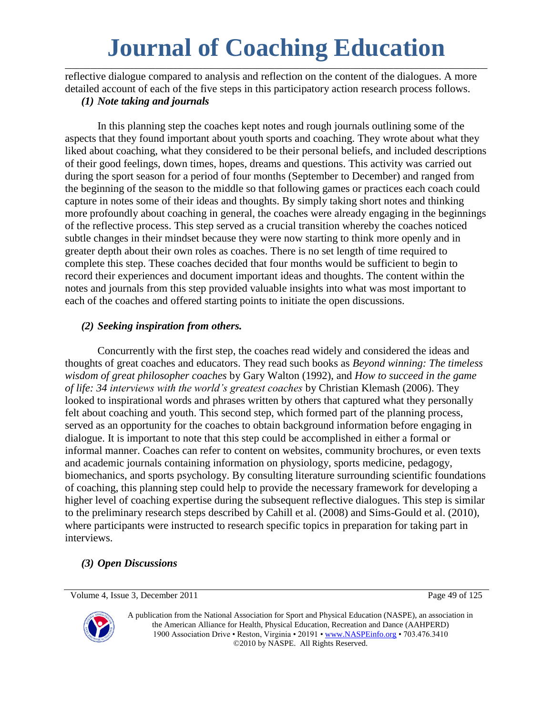**\_\_\_\_\_\_\_\_\_\_\_\_\_\_\_\_\_\_\_\_\_\_\_\_\_\_\_\_\_\_\_\_\_\_\_\_\_\_\_\_\_\_\_\_\_\_\_\_\_\_\_\_\_\_\_\_\_\_\_\_\_\_\_\_\_\_\_\_\_\_\_\_\_\_\_\_\_\_\_\_\_\_\_\_\_\_\_\_\_\_\_\_\_\_\_\_\_\_\_\_\_\_\_\_\_\_\_\_\_\_\_\_\_\_\_\_\_**

reflective dialogue compared to analysis and reflection on the content of the dialogues. A more detailed account of each of the five steps in this participatory action research process follows.

## *(1) Note taking and journals*

In this planning step the coaches kept notes and rough journals outlining some of the aspects that they found important about youth sports and coaching. They wrote about what they liked about coaching, what they considered to be their personal beliefs, and included descriptions of their good feelings, down times, hopes, dreams and questions. This activity was carried out during the sport season for a period of four months (September to December) and ranged from the beginning of the season to the middle so that following games or practices each coach could capture in notes some of their ideas and thoughts. By simply taking short notes and thinking more profoundly about coaching in general, the coaches were already engaging in the beginnings of the reflective process. This step served as a crucial transition whereby the coaches noticed subtle changes in their mindset because they were now starting to think more openly and in greater depth about their own roles as coaches. There is no set length of time required to complete this step. These coaches decided that four months would be sufficient to begin to record their experiences and document important ideas and thoughts. The content within the notes and journals from this step provided valuable insights into what was most important to each of the coaches and offered starting points to initiate the open discussions.

## *(2) Seeking inspiration from others.*

Concurrently with the first step, the coaches read widely and considered the ideas and thoughts of great coaches and educators. They read such books as *Beyond winning: The timeless wisdom of great philosopher coaches* by Gary Walton (1992), and *How to succeed in the game of life: 34 interviews with the world's greatest coaches* by Christian Klemash (2006). They looked to inspirational words and phrases written by others that captured what they personally felt about coaching and youth. This second step, which formed part of the planning process, served as an opportunity for the coaches to obtain background information before engaging in dialogue. It is important to note that this step could be accomplished in either a formal or informal manner. Coaches can refer to content on websites, community brochures, or even texts and academic journals containing information on physiology, sports medicine, pedagogy, biomechanics, and sports psychology. By consulting literature surrounding scientific foundations of coaching, this planning step could help to provide the necessary framework for developing a higher level of coaching expertise during the subsequent reflective dialogues. This step is similar to the preliminary research steps described by Cahill et al. (2008) and Sims-Gould et al. (2010), where participants were instructed to research specific topics in preparation for taking part in interviews.

## *(3) Open Discussions*

Volume 4, Issue 3, December 2011 **Page 49 of 125** Page 49 of 125

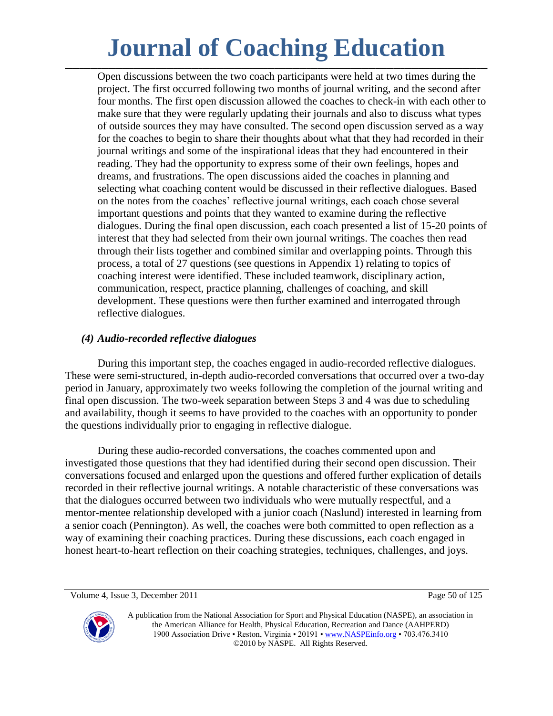Open discussions between the two coach participants were held at two times during the project. The first occurred following two months of journal writing, and the second after four months. The first open discussion allowed the coaches to check-in with each other to make sure that they were regularly updating their journals and also to discuss what types of outside sources they may have consulted. The second open discussion served as a way for the coaches to begin to share their thoughts about what that they had recorded in their journal writings and some of the inspirational ideas that they had encountered in their reading. They had the opportunity to express some of their own feelings, hopes and dreams, and frustrations. The open discussions aided the coaches in planning and selecting what coaching content would be discussed in their reflective dialogues. Based on the notes from the coaches' reflective journal writings, each coach chose several important questions and points that they wanted to examine during the reflective dialogues. During the final open discussion, each coach presented a list of 15-20 points of interest that they had selected from their own journal writings. The coaches then read through their lists together and combined similar and overlapping points. Through this process, a total of 27 questions (see questions in Appendix 1) relating to topics of coaching interest were identified. These included teamwork, disciplinary action, communication, respect, practice planning, challenges of coaching, and skill development. These questions were then further examined and interrogated through reflective dialogues.

## *(4) Audio-recorded reflective dialogues*

During this important step, the coaches engaged in audio-recorded reflective dialogues. These were semi-structured, in-depth audio-recorded conversations that occurred over a two-day period in January, approximately two weeks following the completion of the journal writing and final open discussion. The two-week separation between Steps 3 and 4 was due to scheduling and availability, though it seems to have provided to the coaches with an opportunity to ponder the questions individually prior to engaging in reflective dialogue.

During these audio-recorded conversations, the coaches commented upon and investigated those questions that they had identified during their second open discussion. Their conversations focused and enlarged upon the questions and offered further explication of details recorded in their reflective journal writings. A notable characteristic of these conversations was that the dialogues occurred between two individuals who were mutually respectful, and a mentor-mentee relationship developed with a junior coach (Naslund) interested in learning from a senior coach (Pennington). As well, the coaches were both committed to open reflection as a way of examining their coaching practices. During these discussions, each coach engaged in honest heart-to-heart reflection on their coaching strategies, techniques, challenges, and joys.

Volume 4, Issue 3, December 2011 **Page 50 of 125** Page 50 of 125



A publication from the National Association for Sport and Physical Education (NASPE), an association in the American Alliance for Health, Physical Education, Recreation and Dance (AAHPERD) 1900 Association Drive • Reston, Virginia • 20191 • www.NASPEinfo.org • 703.476.3410 ©2010 by NASPE. All Rights Reserved.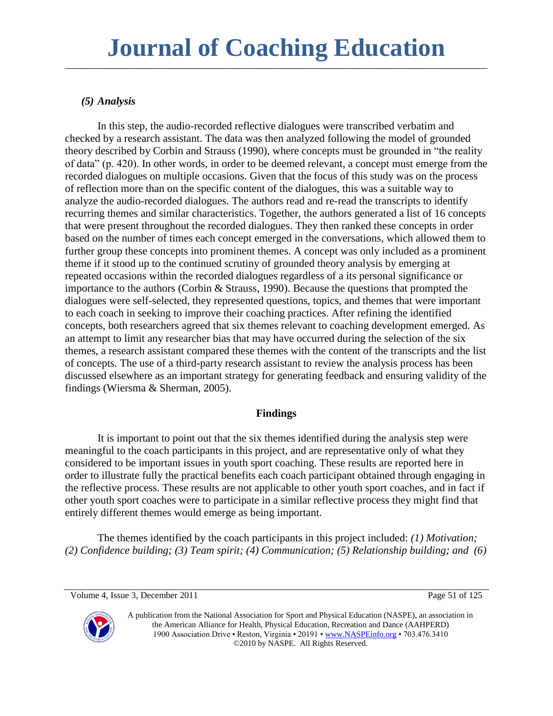**\_\_\_\_\_\_\_\_\_\_\_\_\_\_\_\_\_\_\_\_\_\_\_\_\_\_\_\_\_\_\_\_\_\_\_\_\_\_\_\_\_\_\_\_\_\_\_\_\_\_\_\_\_\_\_\_\_\_\_\_\_\_\_\_\_\_\_\_\_\_\_\_\_\_\_\_\_\_\_\_\_\_\_\_\_\_\_\_\_\_\_\_\_\_\_\_\_\_\_\_\_\_\_\_\_\_\_\_\_\_\_\_\_\_\_\_\_**

## *(5) Analysis*

In this step, the audio-recorded reflective dialogues were transcribed verbatim and checked by a research assistant. The data was then analyzed following the model of grounded theory described by Corbin and Strauss (1990), where concepts must be grounded in "the reality of data" (p. 420). In other words, in order to be deemed relevant, a concept must emerge from the recorded dialogues on multiple occasions. Given that the focus of this study was on the process of reflection more than on the specific content of the dialogues, this was a suitable way to analyze the audio-recorded dialogues. The authors read and re-read the transcripts to identify recurring themes and similar characteristics. Together, the authors generated a list of 16 concepts that were present throughout the recorded dialogues. They then ranked these concepts in order based on the number of times each concept emerged in the conversations, which allowed them to further group these concepts into prominent themes. A concept was only included as a prominent theme if it stood up to the continued scrutiny of grounded theory analysis by emerging at repeated occasions within the recorded dialogues regardless of a its personal significance or importance to the authors (Corbin & Strauss, 1990). Because the questions that prompted the dialogues were self-selected, they represented questions, topics, and themes that were important to each coach in seeking to improve their coaching practices. After refining the identified concepts, both researchers agreed that six themes relevant to coaching development emerged. As an attempt to limit any researcher bias that may have occurred during the selection of the six themes, a research assistant compared these themes with the content of the transcripts and the list of concepts. The use of a third-party research assistant to review the analysis process has been discussed elsewhere as an important strategy for generating feedback and ensuring validity of the findings (Wiersma & Sherman, 2005).

### **Findings**

It is important to point out that the six themes identified during the analysis step were meaningful to the coach participants in this project, and are representative only of what they considered to be important issues in youth sport coaching. These results are reported here in order to illustrate fully the practical benefits each coach participant obtained through engaging in the reflective process. These results are not applicable to other youth sport coaches, and in fact if other youth sport coaches were to participate in a similar reflective process they might find that entirely different themes would emerge as being important.

The themes identified by the coach participants in this project included: *(1) Motivation; (2) Confidence building; (3) Team spirit; (4) Communication; (5) Relationship building; and (6)* 

Volume 4, Issue 3, December 2011 Page 51 of 125



A publication from the National Association for Sport and Physical Education (NASPE), an association in the American Alliance for Health, Physical Education, Recreation and Dance (AAHPERD) 1900 Association Drive • Reston, Virginia • 20191 • www.NASPEinfo.org • 703.476.3410 ©2010 by NASPE. All Rights Reserved.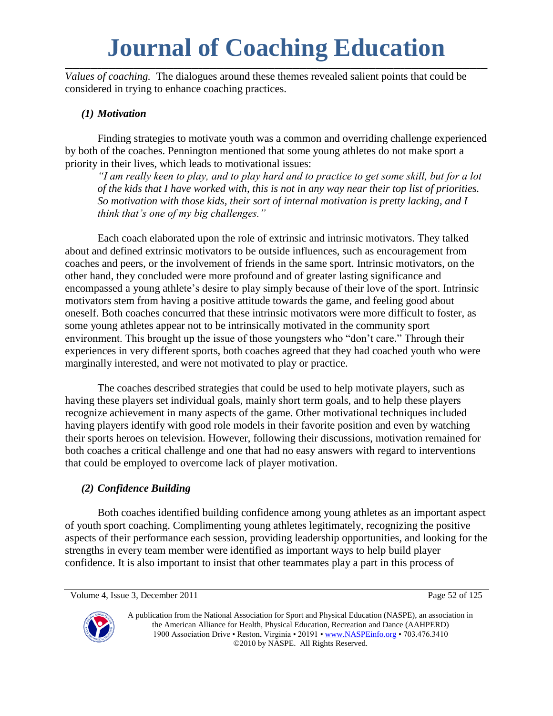*Values of coaching.* The dialogues around these themes revealed salient points that could be considered in trying to enhance coaching practices.

### *(1) Motivation*

Finding strategies to motivate youth was a common and overriding challenge experienced by both of the coaches. Pennington mentioned that some young athletes do not make sport a priority in their lives, which leads to motivational issues:

*"I am really keen to play, and to play hard and to practice to get some skill, but for a lot of the kids that I have worked with, this is not in any way near their top list of priorities. So motivation with those kids, their sort of internal motivation is pretty lacking, and I think that's one of my big challenges."*

Each coach elaborated upon the role of extrinsic and intrinsic motivators. They talked about and defined extrinsic motivators to be outside influences, such as encouragement from coaches and peers, or the involvement of friends in the same sport. Intrinsic motivators, on the other hand, they concluded were more profound and of greater lasting significance and encompassed a young athlete's desire to play simply because of their love of the sport. Intrinsic motivators stem from having a positive attitude towards the game, and feeling good about oneself. Both coaches concurred that these intrinsic motivators were more difficult to foster, as some young athletes appear not to be intrinsically motivated in the community sport environment. This brought up the issue of those youngsters who "don't care." Through their experiences in very different sports, both coaches agreed that they had coached youth who were marginally interested, and were not motivated to play or practice.

The coaches described strategies that could be used to help motivate players, such as having these players set individual goals, mainly short term goals, and to help these players recognize achievement in many aspects of the game. Other motivational techniques included having players identify with good role models in their favorite position and even by watching their sports heroes on television. However, following their discussions, motivation remained for both coaches a critical challenge and one that had no easy answers with regard to interventions that could be employed to overcome lack of player motivation.

## *(2) Confidence Building*

Both coaches identified building confidence among young athletes as an important aspect of youth sport coaching. Complimenting young athletes legitimately, recognizing the positive aspects of their performance each session, providing leadership opportunities, and looking for the strengths in every team member were identified as important ways to help build player confidence. It is also important to insist that other teammates play a part in this process of



A publication from the National Association for Sport and Physical Education (NASPE), an association in the American Alliance for Health, Physical Education, Recreation and Dance (AAHPERD) 1900 Association Drive • Reston, Virginia • 20191 • www.NASPEinfo.org • 703.476.3410 ©2010 by NASPE. All Rights Reserved.

Volume 4, Issue 3, December 2011 Page 52 of 125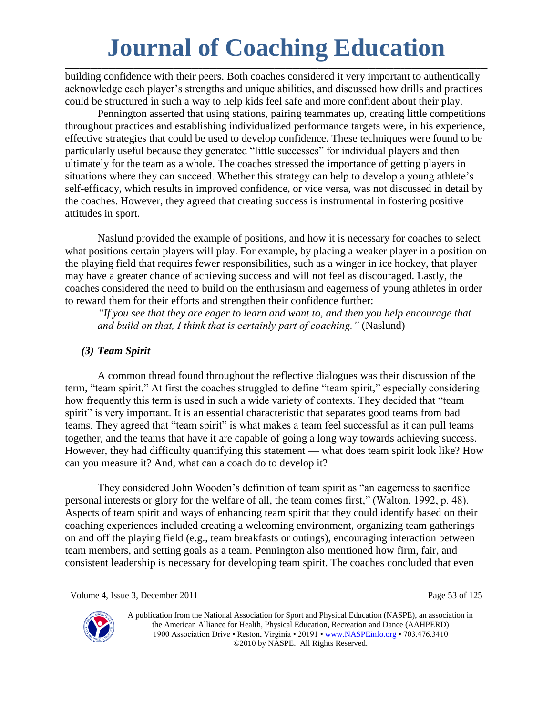building confidence with their peers. Both coaches considered it very important to authentically acknowledge each player's strengths and unique abilities, and discussed how drills and practices could be structured in such a way to help kids feel safe and more confident about their play.

Pennington asserted that using stations, pairing teammates up, creating little competitions throughout practices and establishing individualized performance targets were, in his experience, effective strategies that could be used to develop confidence. These techniques were found to be particularly useful because they generated "little successes" for individual players and then ultimately for the team as a whole. The coaches stressed the importance of getting players in situations where they can succeed. Whether this strategy can help to develop a young athlete's self-efficacy, which results in improved confidence, or vice versa, was not discussed in detail by the coaches. However, they agreed that creating success is instrumental in fostering positive attitudes in sport.

Naslund provided the example of positions, and how it is necessary for coaches to select what positions certain players will play. For example, by placing a weaker player in a position on the playing field that requires fewer responsibilities, such as a winger in ice hockey, that player may have a greater chance of achieving success and will not feel as discouraged. Lastly, the coaches considered the need to build on the enthusiasm and eagerness of young athletes in order to reward them for their efforts and strengthen their confidence further:

*"If you see that they are eager to learn and want to, and then you help encourage that and build on that, I think that is certainly part of coaching."* (Naslund)

### *(3) Team Spirit*

A common thread found throughout the reflective dialogues was their discussion of the term, "team spirit." At first the coaches struggled to define "team spirit," especially considering how frequently this term is used in such a wide variety of contexts. They decided that "team spirit" is very important. It is an essential characteristic that separates good teams from bad teams. They agreed that "team spirit" is what makes a team feel successful as it can pull teams together, and the teams that have it are capable of going a long way towards achieving success. However, they had difficulty quantifying this statement — what does team spirit look like? How can you measure it? And, what can a coach do to develop it?

They considered John Wooden's definition of team spirit as "an eagerness to sacrifice personal interests or glory for the welfare of all, the team comes first," (Walton, 1992, p. 48). Aspects of team spirit and ways of enhancing team spirit that they could identify based on their coaching experiences included creating a welcoming environment, organizing team gatherings on and off the playing field (e.g., team breakfasts or outings), encouraging interaction between team members, and setting goals as a team. Pennington also mentioned how firm, fair, and consistent leadership is necessary for developing team spirit. The coaches concluded that even

Volume 4, Issue 3, December 2011 Page 53 of 125





A publication from the National Association for Sport and Physical Education (NASPE), an association in the American Alliance for Health, Physical Education, Recreation and Dance (AAHPERD) 1900 Association Drive • Reston, Virginia • 20191 • www.NASPEinfo.org • 703.476.3410 ©2010 by NASPE. All Rights Reserved.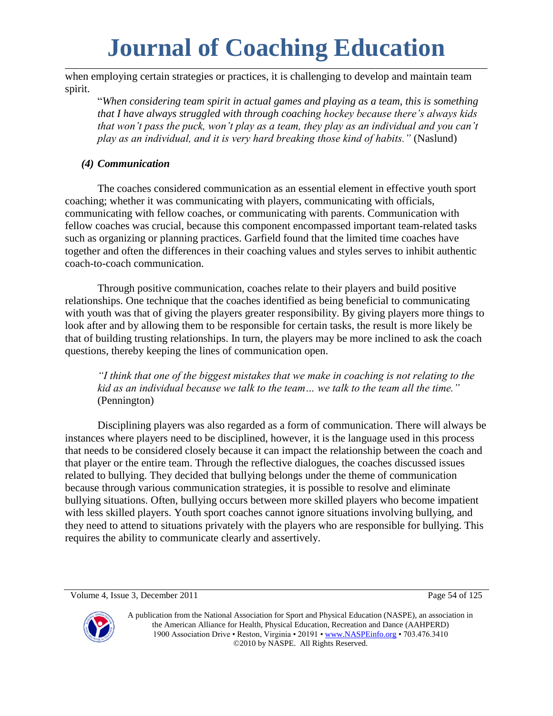**\_\_\_\_\_\_\_\_\_\_\_\_\_\_\_\_\_\_\_\_\_\_\_\_\_\_\_\_\_\_\_\_\_\_\_\_\_\_\_\_\_\_\_\_\_\_\_\_\_\_\_\_\_\_\_\_\_\_\_\_\_\_\_\_\_\_\_\_\_\_\_\_\_\_\_\_\_\_\_\_\_\_\_\_\_\_\_\_\_\_\_\_\_\_\_\_\_\_\_\_\_\_\_\_\_\_\_\_\_\_\_\_\_\_\_\_\_**

when employing certain strategies or practices, it is challenging to develop and maintain team spirit.

"*When considering team spirit in actual games and playing as a team, this is something that I have always struggled with through coaching hockey because there's always kids that won't pass the puck, won't play as a team, they play as an individual and you can't play as an individual, and it is very hard breaking those kind of habits."* (Naslund)

## *(4) Communication*

The coaches considered communication as an essential element in effective youth sport coaching; whether it was communicating with players, communicating with officials, communicating with fellow coaches, or communicating with parents. Communication with fellow coaches was crucial, because this component encompassed important team-related tasks such as organizing or planning practices. Garfield found that the limited time coaches have together and often the differences in their coaching values and styles serves to inhibit authentic coach-to-coach communication.

Through positive communication, coaches relate to their players and build positive relationships. One technique that the coaches identified as being beneficial to communicating with youth was that of giving the players greater responsibility. By giving players more things to look after and by allowing them to be responsible for certain tasks, the result is more likely be that of building trusting relationships. In turn, the players may be more inclined to ask the coach questions, thereby keeping the lines of communication open.

*"I think that one of the biggest mistakes that we make in coaching is not relating to the kid as an individual because we talk to the team… we talk to the team all the time."*  (Pennington)

Disciplining players was also regarded as a form of communication. There will always be instances where players need to be disciplined, however, it is the language used in this process that needs to be considered closely because it can impact the relationship between the coach and that player or the entire team. Through the reflective dialogues, the coaches discussed issues related to bullying. They decided that bullying belongs under the theme of communication because through various communication strategies, it is possible to resolve and eliminate bullying situations. Often, bullying occurs between more skilled players who become impatient with less skilled players. Youth sport coaches cannot ignore situations involving bullying, and they need to attend to situations privately with the players who are responsible for bullying. This requires the ability to communicate clearly and assertively.

Volume 4, Issue 3, December 2011 Page 54 of 125





A publication from the National Association for Sport and Physical Education (NASPE), an association in the American Alliance for Health, Physical Education, Recreation and Dance (AAHPERD) 1900 Association Drive • Reston, Virginia • 20191 • www.NASPEinfo.org • 703.476.3410 ©2010 by NASPE. All Rights Reserved.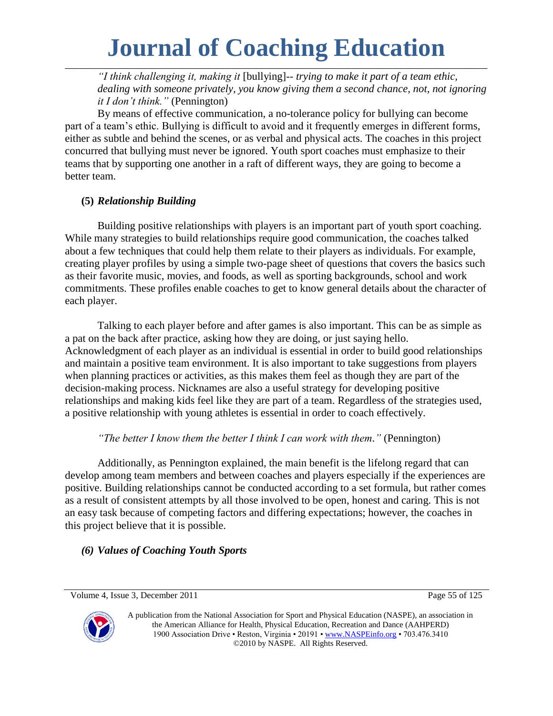**\_\_\_\_\_\_\_\_\_\_\_\_\_\_\_\_\_\_\_\_\_\_\_\_\_\_\_\_\_\_\_\_\_\_\_\_\_\_\_\_\_\_\_\_\_\_\_\_\_\_\_\_\_\_\_\_\_\_\_\_\_\_\_\_\_\_\_\_\_\_\_\_\_\_\_\_\_\_\_\_\_\_\_\_\_\_\_\_\_\_\_\_\_\_\_\_\_\_\_\_\_\_\_\_\_\_\_\_\_\_\_\_\_\_\_\_\_**

*"I think challenging it, making it* [bullying]*-- trying to make it part of a team ethic, dealing with someone privately, you know giving them a second chance, not, not ignoring it I don't think."* (Pennington)

By means of effective communication, a no-tolerance policy for bullying can become part of a team's ethic. Bullying is difficult to avoid and it frequently emerges in different forms, either as subtle and behind the scenes, or as verbal and physical acts. The coaches in this project concurred that bullying must never be ignored. Youth sport coaches must emphasize to their teams that by supporting one another in a raft of different ways, they are going to become a better team.

### **(5)** *Relationship Building*

Building positive relationships with players is an important part of youth sport coaching. While many strategies to build relationships require good communication, the coaches talked about a few techniques that could help them relate to their players as individuals. For example, creating player profiles by using a simple two-page sheet of questions that covers the basics such as their favorite music, movies, and foods, as well as sporting backgrounds, school and work commitments. These profiles enable coaches to get to know general details about the character of each player.

Talking to each player before and after games is also important. This can be as simple as a pat on the back after practice, asking how they are doing, or just saying hello. Acknowledgment of each player as an individual is essential in order to build good relationships and maintain a positive team environment. It is also important to take suggestions from players when planning practices or activities, as this makes them feel as though they are part of the decision-making process. Nicknames are also a useful strategy for developing positive relationships and making kids feel like they are part of a team. Regardless of the strategies used, a positive relationship with young athletes is essential in order to coach effectively.

### *"The better I know them the better I think I can work with them."* (Pennington)

Additionally, as Pennington explained, the main benefit is the lifelong regard that can develop among team members and between coaches and players especially if the experiences are positive. Building relationships cannot be conducted according to a set formula, but rather comes as a result of consistent attempts by all those involved to be open, honest and caring. This is not an easy task because of competing factors and differing expectations; however, the coaches in this project believe that it is possible.

## *(6) Values of Coaching Youth Sports*

Volume 4, Issue 3, December 2011 **Page 55 of 125** Page 55 of 125





A publication from the National Association for Sport and Physical Education (NASPE), an association in the American Alliance for Health, Physical Education, Recreation and Dance (AAHPERD) 1900 Association Drive • Reston, Virginia • 20191 • www.NASPEinfo.org • 703.476.3410 ©2010 by NASPE. All Rights Reserved.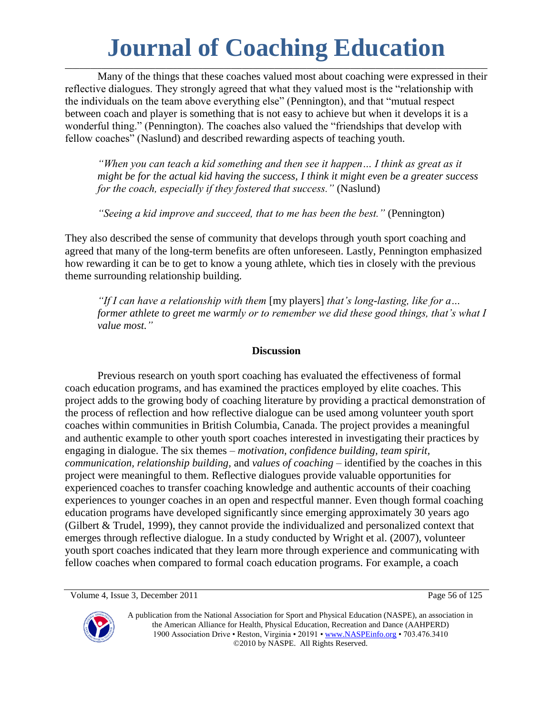**\_\_\_\_\_\_\_\_\_\_\_\_\_\_\_\_\_\_\_\_\_\_\_\_\_\_\_\_\_\_\_\_\_\_\_\_\_\_\_\_\_\_\_\_\_\_\_\_\_\_\_\_\_\_\_\_\_\_\_\_\_\_\_\_\_\_\_\_\_\_\_\_\_\_\_\_\_\_\_\_\_\_\_\_\_\_\_\_\_\_\_\_\_\_\_\_\_\_\_\_\_\_\_\_\_\_\_\_\_\_\_\_\_\_\_\_\_**

Many of the things that these coaches valued most about coaching were expressed in their reflective dialogues. They strongly agreed that what they valued most is the "relationship with the individuals on the team above everything else" (Pennington), and that "mutual respect between coach and player is something that is not easy to achieve but when it develops it is a wonderful thing." (Pennington). The coaches also valued the "friendships that develop with fellow coaches" (Naslund) and described rewarding aspects of teaching youth.

*"When you can teach a kid something and then see it happen… I think as great as it might be for the actual kid having the success, I think it might even be a greater success for the coach, especially if they fostered that success."* (Naslund)

*"Seeing a kid improve and succeed, that to me has been the best."* (Pennington)

They also described the sense of community that develops through youth sport coaching and agreed that many of the long-term benefits are often unforeseen. Lastly, Pennington emphasized how rewarding it can be to get to know a young athlete, which ties in closely with the previous theme surrounding relationship building.

*"If I can have a relationship with them* [my players] *that's long-lasting, like for a… former athlete to greet me warmly or to remember we did these good things, that's what I value most."*

## **Discussion**

Previous research on youth sport coaching has evaluated the effectiveness of formal coach education programs, and has examined the practices employed by elite coaches. This project adds to the growing body of coaching literature by providing a practical demonstration of the process of reflection and how reflective dialogue can be used among volunteer youth sport coaches within communities in British Columbia, Canada. The project provides a meaningful and authentic example to other youth sport coaches interested in investigating their practices by engaging in dialogue. The six themes – *motivation, confidence building, team spirit, communication, relationship building,* and *values of coaching* – identified by the coaches in this project were meaningful to them. Reflective dialogues provide valuable opportunities for experienced coaches to transfer coaching knowledge and authentic accounts of their coaching experiences to younger coaches in an open and respectful manner. Even though formal coaching education programs have developed significantly since emerging approximately 30 years ago (Gilbert & Trudel, 1999), they cannot provide the individualized and personalized context that emerges through reflective dialogue. In a study conducted by Wright et al. (2007), volunteer youth sport coaches indicated that they learn more through experience and communicating with fellow coaches when compared to formal coach education programs. For example, a coach

Volume 4, Issue 3, December 2011 Page 56 of 125

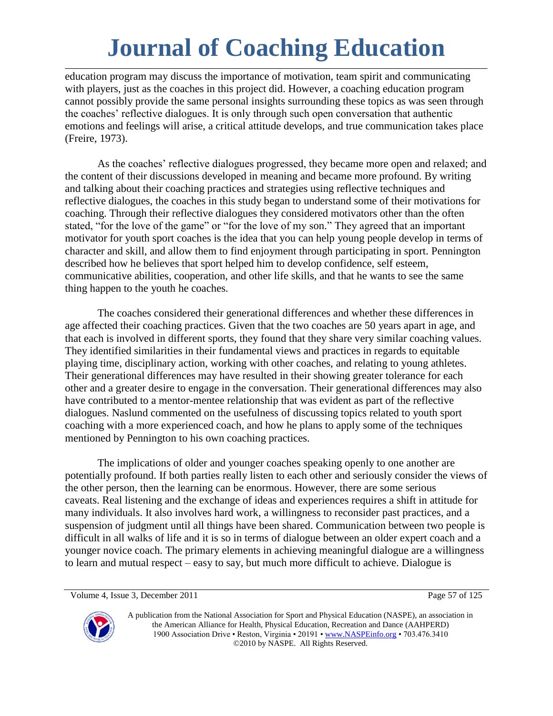education program may discuss the importance of motivation, team spirit and communicating with players, just as the coaches in this project did. However, a coaching education program cannot possibly provide the same personal insights surrounding these topics as was seen through the coaches' reflective dialogues. It is only through such open conversation that authentic emotions and feelings will arise, a critical attitude develops, and true communication takes place (Freire, 1973).

As the coaches' reflective dialogues progressed, they became more open and relaxed; and the content of their discussions developed in meaning and became more profound. By writing and talking about their coaching practices and strategies using reflective techniques and reflective dialogues, the coaches in this study began to understand some of their motivations for coaching. Through their reflective dialogues they considered motivators other than the often stated, "for the love of the game" or "for the love of my son." They agreed that an important motivator for youth sport coaches is the idea that you can help young people develop in terms of character and skill, and allow them to find enjoyment through participating in sport. Pennington described how he believes that sport helped him to develop confidence, self esteem, communicative abilities, cooperation, and other life skills, and that he wants to see the same thing happen to the youth he coaches.

The coaches considered their generational differences and whether these differences in age affected their coaching practices. Given that the two coaches are 50 years apart in age, and that each is involved in different sports, they found that they share very similar coaching values. They identified similarities in their fundamental views and practices in regards to equitable playing time, disciplinary action, working with other coaches, and relating to young athletes. Their generational differences may have resulted in their showing greater tolerance for each other and a greater desire to engage in the conversation. Their generational differences may also have contributed to a mentor-mentee relationship that was evident as part of the reflective dialogues. Naslund commented on the usefulness of discussing topics related to youth sport coaching with a more experienced coach, and how he plans to apply some of the techniques mentioned by Pennington to his own coaching practices.

The implications of older and younger coaches speaking openly to one another are potentially profound. If both parties really listen to each other and seriously consider the views of the other person, then the learning can be enormous. However, there are some serious caveats. Real listening and the exchange of ideas and experiences requires a shift in attitude for many individuals. It also involves hard work, a willingness to reconsider past practices, and a suspension of judgment until all things have been shared. Communication between two people is difficult in all walks of life and it is so in terms of dialogue between an older expert coach and a younger novice coach. The primary elements in achieving meaningful dialogue are a willingness to learn and mutual respect – easy to say, but much more difficult to achieve. Dialogue is



A publication from the National Association for Sport and Physical Education (NASPE), an association in the American Alliance for Health, Physical Education, Recreation and Dance (AAHPERD) 1900 Association Drive • Reston, Virginia • 20191 • www.NASPEinfo.org • 703.476.3410 ©2010 by NASPE. All Rights Reserved.

Volume 4, Issue 3, December 2011 Page 57 of 125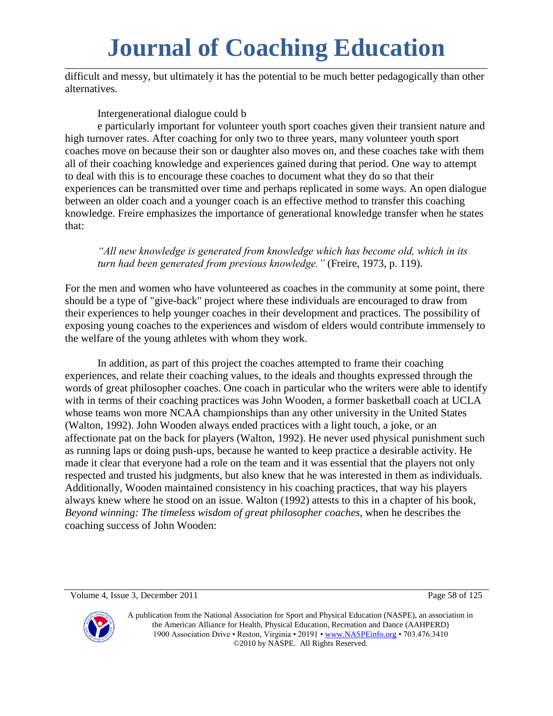**\_\_\_\_\_\_\_\_\_\_\_\_\_\_\_\_\_\_\_\_\_\_\_\_\_\_\_\_\_\_\_\_\_\_\_\_\_\_\_\_\_\_\_\_\_\_\_\_\_\_\_\_\_\_\_\_\_\_\_\_\_\_\_\_\_\_\_\_\_\_\_\_\_\_\_\_\_\_\_\_\_\_\_\_\_\_\_\_\_\_\_\_\_\_\_\_\_\_\_\_\_\_\_\_\_\_\_\_\_\_\_\_\_\_\_\_\_** difficult and messy, but ultimately it has the potential to be much better pedagogically than other alternatives.

Intergenerational dialogue could b

e particularly important for volunteer youth sport coaches given their transient nature and high turnover rates. After coaching for only two to three years, many volunteer youth sport coaches move on because their son or daughter also moves on, and these coaches take with them all of their coaching knowledge and experiences gained during that period. One way to attempt to deal with this is to encourage these coaches to document what they do so that their experiences can be transmitted over time and perhaps replicated in some ways. An open dialogue between an older coach and a younger coach is an effective method to transfer this coaching knowledge. Freire emphasizes the importance of generational knowledge transfer when he states that:

*"All new knowledge is generated from knowledge which has become old, which in its turn had been generated from previous knowledge."* (Freire, 1973, p. 119).

For the men and women who have volunteered as coaches in the community at some point, there should be a type of "give-back" project where these individuals are encouraged to draw from their experiences to help younger coaches in their development and practices. The possibility of exposing young coaches to the experiences and wisdom of elders would contribute immensely to the welfare of the young athletes with whom they work.

In addition, as part of this project the coaches attempted to frame their coaching experiences, and relate their coaching values, to the ideals and thoughts expressed through the words of great philosopher coaches. One coach in particular who the writers were able to identify with in terms of their coaching practices was John Wooden, a former basketball coach at UCLA whose teams won more NCAA championships than any other university in the United States (Walton, 1992). John Wooden always ended practices with a light touch, a joke, or an affectionate pat on the back for players (Walton, 1992). He never used physical punishment such as running laps or doing push-ups, because he wanted to keep practice a desirable activity. He made it clear that everyone had a role on the team and it was essential that the players not only respected and trusted his judgments, but also knew that he was interested in them as individuals. Additionally, Wooden maintained consistency in his coaching practices, that way his players always knew where he stood on an issue. Walton (1992) attests to this in a chapter of his book, *Beyond winning: The timeless wisdom of great philosopher coaches*, when he describes the coaching success of John Wooden:

Volume 4, Issue 3, December 2011 **Page 58** of 125

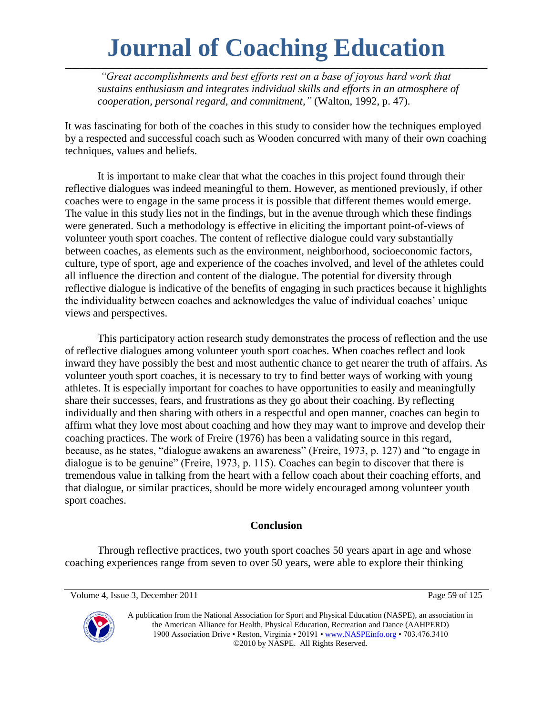**\_\_\_\_\_\_\_\_\_\_\_\_\_\_\_\_\_\_\_\_\_\_\_\_\_\_\_\_\_\_\_\_\_\_\_\_\_\_\_\_\_\_\_\_\_\_\_\_\_\_\_\_\_\_\_\_\_\_\_\_\_\_\_\_\_\_\_\_\_\_\_\_\_\_\_\_\_\_\_\_\_\_\_\_\_\_\_\_\_\_\_\_\_\_\_\_\_\_\_\_\_\_\_\_\_\_\_\_\_\_\_\_\_\_\_\_\_**

*"Great accomplishments and best efforts rest on a base of joyous hard work that sustains enthusiasm and integrates individual skills and efforts in an atmosphere of cooperation, personal regard, and commitment,"* (Walton, 1992, p. 47).

It was fascinating for both of the coaches in this study to consider how the techniques employed by a respected and successful coach such as Wooden concurred with many of their own coaching techniques, values and beliefs.

It is important to make clear that what the coaches in this project found through their reflective dialogues was indeed meaningful to them. However, as mentioned previously, if other coaches were to engage in the same process it is possible that different themes would emerge. The value in this study lies not in the findings, but in the avenue through which these findings were generated. Such a methodology is effective in eliciting the important point-of-views of volunteer youth sport coaches. The content of reflective dialogue could vary substantially between coaches, as elements such as the environment, neighborhood, socioeconomic factors, culture, type of sport, age and experience of the coaches involved, and level of the athletes could all influence the direction and content of the dialogue. The potential for diversity through reflective dialogue is indicative of the benefits of engaging in such practices because it highlights the individuality between coaches and acknowledges the value of individual coaches' unique views and perspectives.

This participatory action research study demonstrates the process of reflection and the use of reflective dialogues among volunteer youth sport coaches. When coaches reflect and look inward they have possibly the best and most authentic chance to get nearer the truth of affairs. As volunteer youth sport coaches, it is necessary to try to find better ways of working with young athletes. It is especially important for coaches to have opportunities to easily and meaningfully share their successes, fears, and frustrations as they go about their coaching. By reflecting individually and then sharing with others in a respectful and open manner, coaches can begin to affirm what they love most about coaching and how they may want to improve and develop their coaching practices. The work of Freire (1976) has been a validating source in this regard, because, as he states, "dialogue awakens an awareness" (Freire, 1973, p. 127) and "to engage in dialogue is to be genuine" (Freire, 1973, p. 115). Coaches can begin to discover that there is tremendous value in talking from the heart with a fellow coach about their coaching efforts, and that dialogue, or similar practices, should be more widely encouraged among volunteer youth sport coaches.

#### **Conclusion**

Through reflective practices, two youth sport coaches 50 years apart in age and whose coaching experiences range from seven to over 50 years, were able to explore their thinking

Volume 4, Issue 3, December 2011 Page 59 of 125



A publication from the National Association for Sport and Physical Education (NASPE), an association in the American Alliance for Health, Physical Education, Recreation and Dance (AAHPERD) 1900 Association Drive • Reston, Virginia • 20191 • www.NASPEinfo.org • 703.476.3410 ©2010 by NASPE. All Rights Reserved.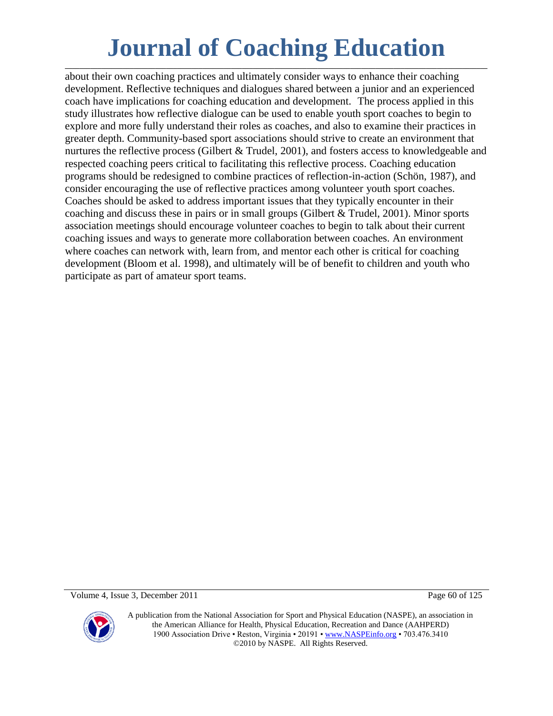about their own coaching practices and ultimately consider ways to enhance their coaching development. Reflective techniques and dialogues shared between a junior and an experienced coach have implications for coaching education and development. The process applied in this study illustrates how reflective dialogue can be used to enable youth sport coaches to begin to explore and more fully understand their roles as coaches, and also to examine their practices in greater depth. Community-based sport associations should strive to create an environment that nurtures the reflective process (Gilbert & Trudel, 2001), and fosters access to knowledgeable and respected coaching peers critical to facilitating this reflective process. Coaching education programs should be redesigned to combine practices of reflection-in-action (Schön, 1987), and consider encouraging the use of reflective practices among volunteer youth sport coaches. Coaches should be asked to address important issues that they typically encounter in their coaching and discuss these in pairs or in small groups (Gilbert & Trudel, 2001). Minor sports association meetings should encourage volunteer coaches to begin to talk about their current coaching issues and ways to generate more collaboration between coaches. An environment where coaches can network with, learn from, and mentor each other is critical for coaching development (Bloom et al. 1998), and ultimately will be of benefit to children and youth who participate as part of amateur sport teams.

Volume 4, Issue 3, December 2011 **Page 60 of 125** Page 60 of 125

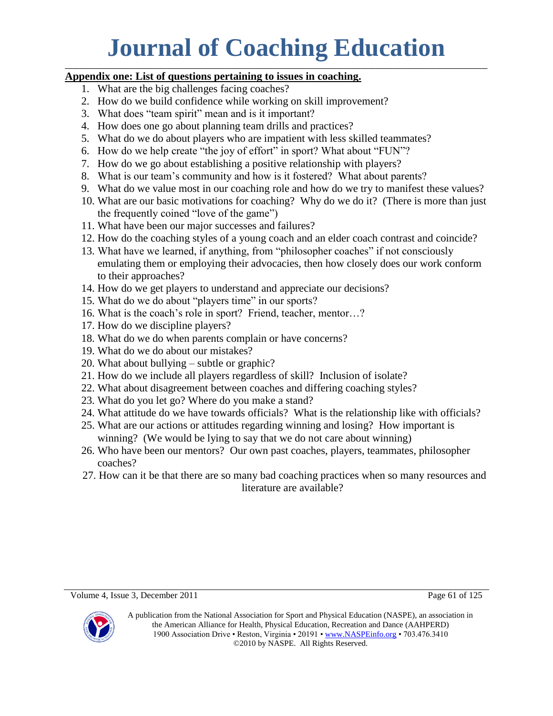**\_\_\_\_\_\_\_\_\_\_\_\_\_\_\_\_\_\_\_\_\_\_\_\_\_\_\_\_\_\_\_\_\_\_\_\_\_\_\_\_\_\_\_\_\_\_\_\_\_\_\_\_\_\_\_\_\_\_\_\_\_\_\_\_\_\_\_\_\_\_\_\_\_\_\_\_\_\_\_\_\_\_\_\_\_\_\_\_\_\_\_\_\_\_\_\_\_\_\_\_\_\_\_\_\_\_\_\_\_\_\_\_\_\_\_\_\_**

## **Appendix one: List of questions pertaining to issues in coaching.**

- 1. What are the big challenges facing coaches?
- 2. How do we build confidence while working on skill improvement?
- 3. What does "team spirit" mean and is it important?
- 4. How does one go about planning team drills and practices?
- 5. What do we do about players who are impatient with less skilled teammates?
- 6. How do we help create "the joy of effort" in sport? What about "FUN"?
- 7. How do we go about establishing a positive relationship with players?
- 8. What is our team's community and how is it fostered? What about parents?
- 9. What do we value most in our coaching role and how do we try to manifest these values?
- 10. What are our basic motivations for coaching? Why do we do it? (There is more than just the frequently coined "love of the game")
- 11. What have been our major successes and failures?
- 12. How do the coaching styles of a young coach and an elder coach contrast and coincide?
- 13. What have we learned, if anything, from "philosopher coaches" if not consciously emulating them or employing their advocacies, then how closely does our work conform to their approaches?
- 14. How do we get players to understand and appreciate our decisions?
- 15. What do we do about "players time" in our sports?
- 16. What is the coach's role in sport? Friend, teacher, mentor…?
- 17. How do we discipline players?
- 18. What do we do when parents complain or have concerns?
- 19. What do we do about our mistakes?
- 20. What about bullying subtle or graphic?
- 21. How do we include all players regardless of skill? Inclusion of isolate?
- 22. What about disagreement between coaches and differing coaching styles?
- 23. What do you let go? Where do you make a stand?
- 24. What attitude do we have towards officials? What is the relationship like with officials?
- 25. What are our actions or attitudes regarding winning and losing? How important is winning? (We would be lying to say that we do not care about winning)
- 26. Who have been our mentors? Our own past coaches, players, teammates, philosopher coaches?
- 27. How can it be that there are so many bad coaching practices when so many resources and literature are available?

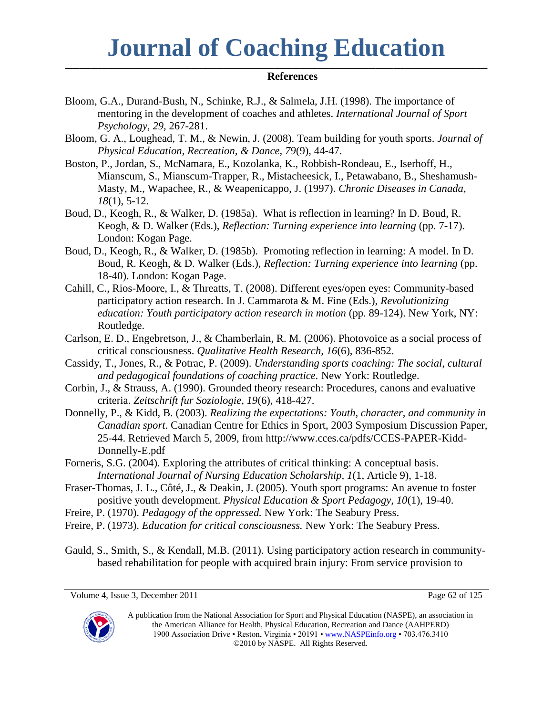**\_\_\_\_\_\_\_\_\_\_\_\_\_\_\_\_\_\_\_\_\_\_\_\_\_\_\_\_\_\_\_\_\_\_\_\_\_\_\_\_\_\_\_\_\_\_\_\_\_\_\_\_\_\_\_\_\_\_\_\_\_\_\_\_\_\_\_\_\_\_\_\_\_\_\_\_\_\_\_\_\_\_\_\_\_\_\_\_\_\_\_\_\_\_\_\_\_\_\_\_\_\_\_\_\_\_\_\_\_\_\_\_\_\_\_\_\_**

#### **References**

- Bloom, G.A., Durand-Bush, N., Schinke, R.J., & Salmela, J.H. (1998). The importance of mentoring in the development of coaches and athletes. *International Journal of Sport Psychology, 29*, 267-281.
- Bloom, G. A., Loughead, T. M., & Newin, J. (2008). Team building for youth sports. *Journal of Physical Education, Recreation, & Dance, 79*(9), 44-47.
- Boston, P., Jordan, S., McNamara, E., Kozolanka, K., Robbish-Rondeau, E., Iserhoff, H., Mianscum, S., Mianscum-Trapper, R., Mistacheesick, I., Petawabano, B., Sheshamush-Masty, M., Wapachee, R., & Weapenicappo, J. (1997). *Chronic Diseases in Canada, 18*(1), 5-12.
- Boud, D., Keogh, R., & Walker, D. (1985a). What is reflection in learning? In D. Boud, R. Keogh, & D. Walker (Eds.), *Reflection: Turning experience into learning* (pp. 7-17). London: Kogan Page.
- Boud, D., Keogh, R., & Walker, D. (1985b). Promoting reflection in learning: A model. In D. Boud, R. Keogh, & D. Walker (Eds.), *Reflection: Turning experience into learning* (pp. 18-40). London: Kogan Page.
- Cahill, C., Rios-Moore, I., & Threatts, T. (2008). Different eyes/open eyes: Community-based participatory action research. In J. Cammarota & M. Fine (Eds.), *Revolutionizing education: Youth participatory action research in motion* (pp. 89-124). New York, NY: Routledge.
- Carlson, E. D., Engebretson, J., & Chamberlain, R. M. (2006). Photovoice as a social process of critical consciousness. *Qualitative Health Research, 16*(6), 836-852.
- Cassidy, T., Jones, R., & Potrac, P. (2009). *Understanding sports coaching: The social, cultural and pedagogical foundations of coaching practice.* New York: Routledge.
- Corbin, J., & Strauss, A. (1990). Grounded theory research: Procedures, canons and evaluative criteria. *Zeitschrift fur Soziologie, 19*(6), 418-427.
- Donnelly, P., & Kidd, B. (2003). *Realizing the expectations: Youth, character, and community in Canadian sport*. Canadian Centre for Ethics in Sport, 2003 Symposium Discussion Paper, 25-44. Retrieved March 5, 2009, from http://www.cces.ca/pdfs/CCES-PAPER-Kidd-Donnelly-E.pdf
- Forneris, S.G. (2004). Exploring the attributes of critical thinking: A conceptual basis. *International Journal of Nursing Education Scholarship, 1*(1, Article 9), 1-18.
- Fraser-Thomas, J. L., Côté, J., & Deakin, J. (2005). Youth sport programs: An avenue to foster positive youth development. *Physical Education & Sport Pedagogy, 10*(1), 19-40.
- Freire, P. (1970). *Pedagogy of the oppressed.* New York: The Seabury Press.
- Freire, P. (1973). *Education for critical consciousness.* New York: The Seabury Press.
- Gauld, S., Smith, S., & Kendall, M.B. (2011). Using participatory action research in communitybased rehabilitation for people with acquired brain injury: From service provision to

Volume 4, Issue 3, December 2011 **Page 62 of 125** 

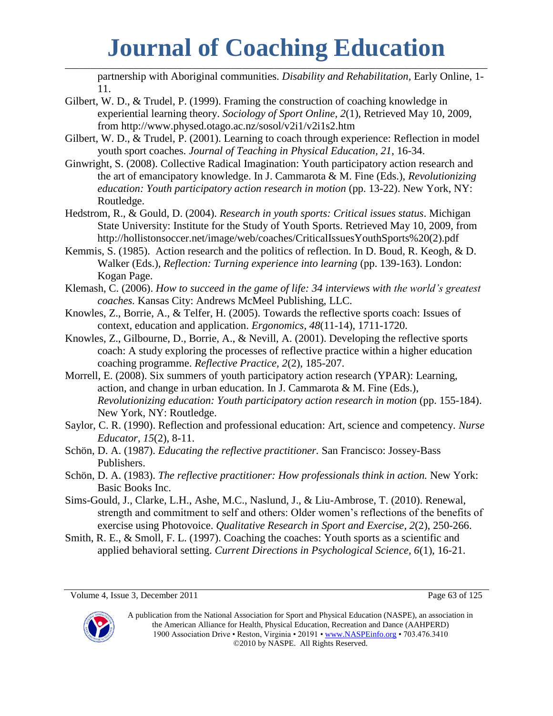**\_\_\_\_\_\_\_\_\_\_\_\_\_\_\_\_\_\_\_\_\_\_\_\_\_\_\_\_\_\_\_\_\_\_\_\_\_\_\_\_\_\_\_\_\_\_\_\_\_\_\_\_\_\_\_\_\_\_\_\_\_\_\_\_\_\_\_\_\_\_\_\_\_\_\_\_\_\_\_\_\_\_\_\_\_\_\_\_\_\_\_\_\_\_\_\_\_\_\_\_\_\_\_\_\_\_\_\_\_\_\_\_\_\_\_\_\_**

partnership with Aboriginal communities. *Disability and Rehabilitation,* Early Online, 1- 11.

- Gilbert, W. D., & Trudel, P. (1999). Framing the construction of coaching knowledge in experiential learning theory. *Sociology of Sport Online, 2*(1), Retrieved May 10, 2009, from http://www.physed.otago.ac.nz/sosol/v2i1/v2i1s2.htm
- Gilbert, W. D., & Trudel, P. (2001). Learning to coach through experience: Reflection in model youth sport coaches. *Journal of Teaching in Physical Education, 21*, 16-34.
- Ginwright, S. (2008). Collective Radical Imagination: Youth participatory action research and the art of emancipatory knowledge. In J. Cammarota & M. Fine (Eds.), *Revolutionizing education: Youth participatory action research in motion* (pp. 13-22). New York, NY: Routledge.
- Hedstrom, R., & Gould, D. (2004). *Research in youth sports: Critical issues status*. Michigan State University: Institute for the Study of Youth Sports. Retrieved May 10, 2009, from http://hollistonsoccer.net/image/web/coaches/CriticalIssuesYouthSports%20(2).pdf
- Kemmis, S. (1985). Action research and the politics of reflection. In D. Boud, R. Keogh, & D. Walker (Eds.), *Reflection: Turning experience into learning* (pp. 139-163). London: Kogan Page.
- Klemash, C. (2006). *How to succeed in the game of life: 34 interviews with the world's greatest coaches.* Kansas City: Andrews McMeel Publishing, LLC.
- Knowles, Z., Borrie, A., & Telfer, H. (2005). Towards the reflective sports coach: Issues of context, education and application. *Ergonomics, 48*(11-14), 1711-1720.
- Knowles, Z., Gilbourne, D., Borrie, A., & Nevill, A. (2001). Developing the reflective sports coach: A study exploring the processes of reflective practice within a higher education coaching programme. *Reflective Practice, 2*(2), 185-207.
- Morrell, E. (2008). Six summers of youth participatory action research (YPAR): Learning, action, and change in urban education. In J. Cammarota & M. Fine (Eds.), *Revolutionizing education: Youth participatory action research in motion* (pp. 155-184). New York, NY: Routledge.
- Saylor, C. R. (1990). Reflection and professional education: Art, science and competency. *Nurse Educator, 15*(2), 8-11.
- Schön, D. A. (1987). *Educating the reflective practitioner.* San Francisco: Jossey-Bass Publishers.
- Schön, D. A. (1983). *The reflective practitioner: How professionals think in action.* New York: Basic Books Inc.
- Sims-Gould, J., Clarke, L.H., Ashe, M.C., Naslund, J., & Liu-Ambrose, T. (2010). Renewal, strength and commitment to self and others: Older women's reflections of the benefits of exercise using Photovoice. *Qualitative Research in Sport and Exercise, 2*(2), 250-266.
- Smith, R. E., & Smoll, F. L. (1997). Coaching the coaches: Youth sports as a scientific and applied behavioral setting. *Current Directions in Psychological Science, 6*(1), 16-21.

Volume 4, Issue 3, December 2011 Page 63 of 125